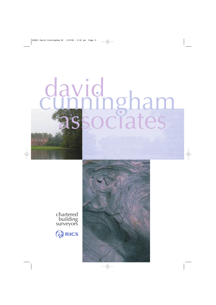# david associates cunningham



chartered building surveyors

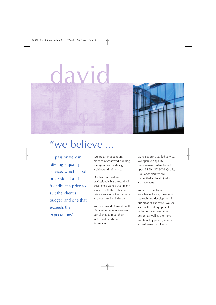## david



### "we believe ...

… passionately in offering a quality service, which is both professional and friendly at a price to suit the client's budget, and one that exceeds their expectations"

We are an independent practice of chartered building surveyors, with a strong architectural influence.

Our team of qualified professionals has a wealth of experience gained over many years in both the public and private sectors of the property and construction industry.

We can provide throughout the UK a wide range of services to our clients, to meet their individual needs and timescales.

Ours is a principal led service. We operate a quality management system based upon BS EN ISO 9001 Quality Assurance and we are committed to Total Quality Management.

We strive to achieve excellence through continual research and development in our areas of expertise. We use state of the art equipment, including computer aided design, as well as the more traditional approach, in order to best serve our clients.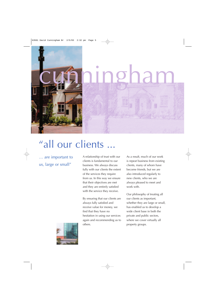

### "all our clients ...

… are important to us, large or small"

A relationship of trust with our clients is fundamental to our business. We always discuss fully with our clients the extent of the services they require from us. In this way we ensure that their objectives are met and they are entirely satisfied with the service they receive.

By ensuring that our clients are always fully satisfied and receive value for money, we find that they have no hesitation in using our services again and recommending us to others.

As a result, much of our work is repeat business from existing clients, many of whom have become friends, but we are also introduced regularly to new clients, who we are always pleased to meet and work with.

Our philosophy of treating all our clients as important, whether they are large or small, has enabled us to develop a wide client base in both the private and public sectors, where we cover virtually all property groups.

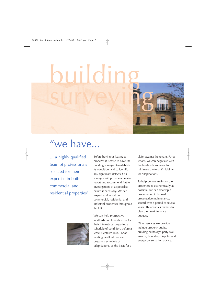building



### "we have...

… a highly qualified team of professionals selected for their expertise in both commercial and residential properties"

Before buying or leasing a property, it is wise to have the building surveyed to establish its condition, and to identify any significant defects. Our surveyor will provide a detailed report and recommend further investigations of a specialist nature if necessary. We can inspect and report on commercial, residential and industrial properties throughout the UK.



We can help prospective landlords and tenants to protect their interests by preparing a schedule of condition, before a lease is entered into. For an existing landlord, we can prepare a schedule of dilapidations, as the basis for a

claim against the tenant. For a tenant, we can negotiate with the landlord's surveyor to minimise the tenant's liability for dilapidations.

To help owners maintain their properties as economically as possible, we can develop a programme of planned preventative maintenance, spread over a period of several years. This enables owners to plan their maintenance budgets.

Other services we provide include property audits, building pathology, party wall awards, boundary disputes and energy conservation advice.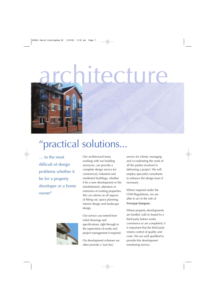### itecture

### "practical solutions...

… to the most difficult of design problems whether it be for a property developer or a home owner"



Our architectural team, working with our building surveyors, can provide a complete design service for commercial, industrial and residential buildings, whether it be a new development or the refurbishment, alteration or extension of existing properties. We can advise on all aspects of fitting out, space planning, interior design and landscape design.

Our service can extend from initial drawings and specifications, right through to the supervision of works and project management if required.

On development schemes we often provide a 'turn key'

service for clients, managing and co-ordinating the work of all the parties involved in delivering a project. We will employ specialist consultants to enhance the design team if necessary.

Where required under the CDM Regulations, we are able to act in the role of Principal Designer.

Where property developments are funded, sold or leased to a third party before works commence or are completed, it is important that the third party retains control of quality and costs. We are well qualified to provide this development monitoring service.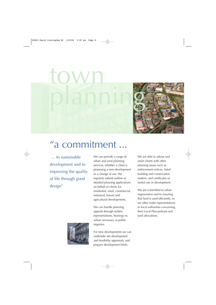

### "a commitment ...

… to sustainable development and to improving the quality of life through good design"

We can provide a range of urban and rural planning services, whether a client is proposing a new development or a change of use. We regularly submit outline or detailed planning applications on behalf of clients for residential, retail, commercial, industrial, leisure and agricultural developments.

We can handle planning appeals through written representations, hearings or, where necessary, at public inquiries.

For new developments we can undertake site development and feasibility appraisals, and prepare development briefs.

We are able to advise and assist clients with other planning issues such as enforcement notices, listed building and conservation matters, and certificates of lawful use or development.

We are committed to urban regeneration and to ensuring that land is used efficiently, so we often make representations to local authorities concerning their Local Plan policies and land allocations.

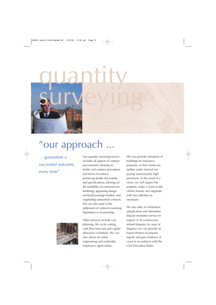

### "our approach

… guarantees a successful outcome, every time"

Our quantity surveying service includes all aspects of contract procurement: advising on tender and contract procedures and forms of contract; producing tender documents and specifications; advising on the suitability of contractors for tendering; appraising designand-build package tenders; and negotiating substantial contracts. We can also assist in the settlement of contracts involving liquidation or receivership.

Other services include cost planning, life cycle costing, cash flow forecasts and capital allowance schedules. We can also advise on value engineering and undertake employer's agent duties.

We can provide valuations of buildings for insurance purposes, so that clients are neither under insured nor paying unnecessarily high premiums. In the event of a claim, we will inspect the property, make a claim to the client's insurer and negotiate with loss adjusters as necessary.

We also offer an arbitration, adjudication and alternative dispute resolution service in respect of all construction related disputes. In cases of litigation we can provide an Expert Witness to prepare reports and give evidence at court in accordance with the Civil Procedure Rules.